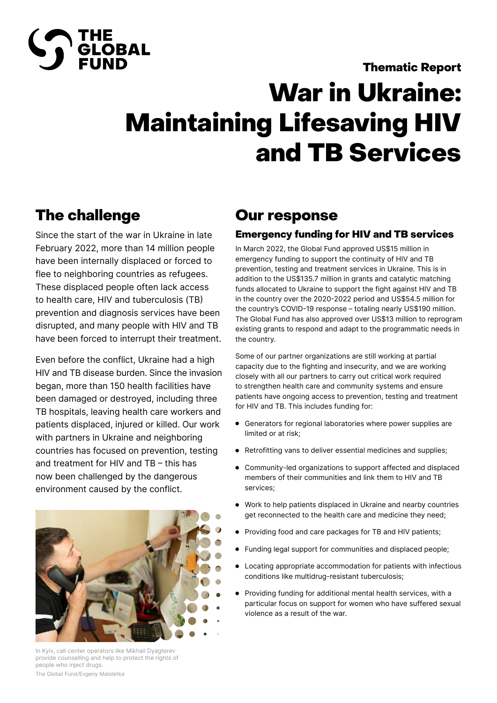

#### Thematic Report

## War in Ukraine: Maintaining Lifesaving HIV and TB Services

## The challenge

Since the start of the war in Ukraine in late February 2022, more than 14 million people have been internally displaced or forced to flee to neighboring countries as refugees. These displaced people often lack access to health care, HIV and tuberculosis (TB) prevention and diagnosis services have been disrupted, and many people with HIV and TB have been forced to interrupt their treatment.

Even before the conflict, Ukraine had a high HIV and TB disease burden. Since the invasion began, more than 150 health facilities have been damaged or destroyed, including three TB hospitals, leaving health care workers and patients displaced, injured or killed. Our work with partners in Ukraine and neighboring countries has focused on prevention, testing and treatment for HIV and TB – this has now been challenged by the dangerous environment caused by the conflict.



In Kyiv, call center operators like Mikhail Dyagterev provide counselling and help to protect the rights of people who inject drugs. The Global Fund/Evgeny Maloletka

### Our response

#### Emergency funding for HIV and TB services

In March 2022, the Global Fund approved US\$15 million in emergency funding to support the continuity of HIV and TB prevention, testing and treatment services in Ukraine. This is in addition to the US\$135.7 million in grants and catalytic matching funds allocated to Ukraine to support the fight against HIV and TB in the country over the 2020-2022 period and US\$54.5 million for the country's COVID-19 response – totaling nearly US\$190 million. The Global Fund has also approved over US\$13 million to reprogram existing grants to respond and adapt to the programmatic needs in the country.

Some of our partner organizations are still working at partial capacity due to the fighting and insecurity, and we are working closely with all our partners to carry out critical work required to strengthen health care and community systems and ensure patients have ongoing access to prevention, testing and treatment for HIV and TB. This includes funding for:

- Generators for regional laboratories where power supplies are limited or at risk;
- Retrofitting vans to deliver essential medicines and supplies;
- Community-led organizations to support affected and displaced  $\bullet$ members of their communities and link them to HIV and TB services;
- Work to help patients displaced in Ukraine and nearby countries get reconnected to the health care and medicine they need;
- Providing food and care packages for TB and HIV patients;
- Funding legal support for communities and displaced people;
- Locating appropriate accommodation for patients with infectious conditions like multidrug-resistant tuberculosis;
- Providing funding for additional mental health services, with a particular focus on support for women who have suffered sexual violence as a result of the war.